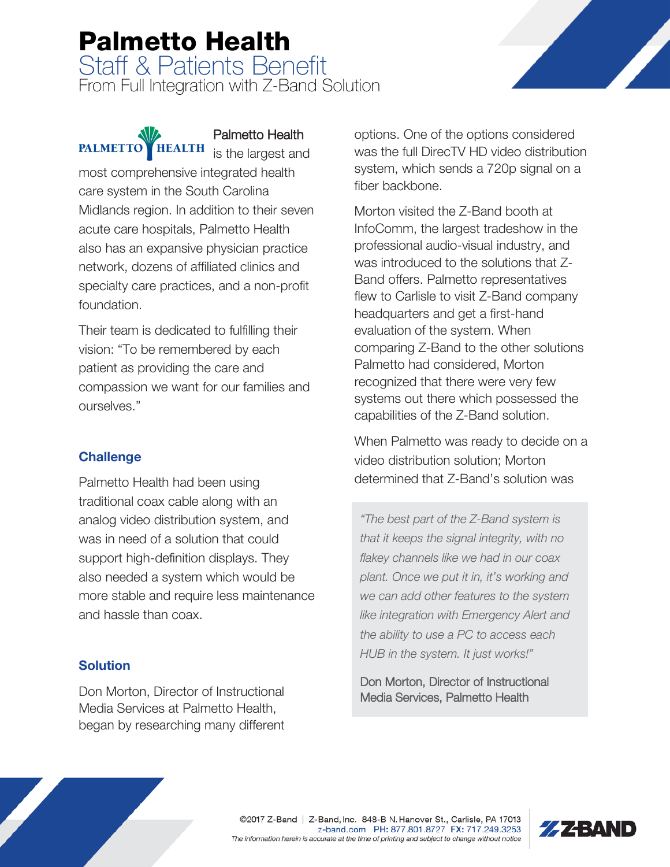# Palmetto Health Staff & Patients Benefit

From Full Integration with Z-Band Solution

### **PALMETTO HEALTH**

Palmetto Health is the largest and

most comprehensive integrated health care system in the South Carolina Midlands region. In addition to their seven acute care hospitals, Palmetto Health also has an expansive physician practice network, dozens of affiliated clinics and specialty care practices, and a non-profit foundation.

Their team is dedicated to fulfilling their vision: "To be remembered by each patient as providing the care and compassion we want for our families and ourselves."

#### **Challenge**

Palmetto Health had been using traditional coax cable along with an analog video distribution system, and was in need of a solution that could support high-definition displays. They also needed a system which would be more stable and require less maintenance and hassle than coax.

#### Solution

Don Morton, Director of Instructional Media Services at Palmetto Health, began by researching many different options. One of the options considered was the full DirecTV HD video distribution system, which sends a 720p signal on a fiber backbone.

Morton visited the Z-Band booth at InfoComm, the largest tradeshow in the professional audio-visual industry, and was introduced to the solutions that Z-Band offers. Palmetto representatives flew to Carlisle to visit Z-Band company headquarters and get a first-hand evaluation of the system. When comparing Z-Band to the other solutions Palmetto had considered, Morton recognized that there were very few systems out there which possessed the capabilities of the Z-Band solution.

When Palmetto was ready to decide on a video distribution solution; Morton determined that Z-Band's solution was

"The best part of the Z-Band system is that it keeps the signal integrity, with no flakey channels like we had in our coax plant. Once we put it in, it's working and we can add other features to the system like integration with Emergency Alert and the ability to use a PC to access each HUB in the system. It just works!"

Don Morton, Director of Instructional Media Services, Palmetto Health